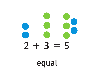# $2 + 3 =$ 5 equal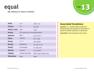## equal

#### adj. identical in value or notation



| <b>Arabic</b>         | يساوي                              | $y\overline{oo}$ sa' wē |
|-----------------------|------------------------------------|-------------------------|
| <b>Chinese</b>        | 等于                                 | $d$ än yoo              |
| <b>Haitian Creole</b> | egal                               | ā gäl'                  |
| <b>Hmong</b>          | This word has no Hmong equivalent. |                         |
| <b>Japanese</b>       | 等しい                                | hē tō' shē' ē           |
| <b>Khmer</b>          | esulnwg                            | stûr <sup>'</sup> nəng  |
| <b>Korean</b>         | 은 $(\in)$                          | $\overline{oon}$ (noon) |
| <b>Russian</b>        | равняется                          | räv nyä' yi tsä         |
| <b>Somali</b>         | la mid yahay                       | lä' mid yä hī'          |
| <b>Spanish</b>        | es igual a                         | es' ē gwäl' ä'          |
| <b>Tagalog</b>        | tumbas; katumbas                   | toom bäs; kä toom bäs   |
| <b>Vietnamese</b>     | bằng                               | bäng                    |

#### **Associated Vocabulary**

 $\bullet$  $\bullet$  $\bullet$  $\bullet$  $\bullet$  $\bullet$  $\bullet$ 

equation n. a mathematical statement showing that one quantity or expression is equal to another quantity or expression equivalent adj. having the same value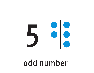

# odd number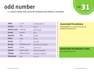### odd number

n. a whole number that cannot be divided by two without a remainder



| <b>Arabic</b>         | رقم فردي         | rä <sup>2</sup> khum sâr <sup>2</sup> dē |
|-----------------------|------------------|------------------------------------------|
| <b>Chinese</b>        | 奇数               | kāy sō                                   |
| <b>Haitian Creole</b> | chif enpè        | shēf' em pā'                             |
| <b>Hmong</b>          | leb khib         | lā kē                                    |
| Japanese              | 奇数               | $k\bar{e} s\bar{o}o'$                    |
| <b>Khmer</b>          | elxess           | lāt´sā                                   |
| <b>Korean</b>         | 홀수               | $hor's\overline{oo}$                     |
| <b>Russian</b>        | нечётное число   | nē chōt' nä ye chē slô'                  |
| <b>Somali</b>         | tiro kisi        | tē rō' ki' sē                            |
| <b>Spanish</b>        | número impar     | noo' mā rō ēm pär'                       |
| <b>Tagalog</b>        | bilang na gansal | bē läng' nä' gän säl'                    |
| <b>Vietnamese</b>     | số lẻ            | $s\bar{o}'$ lā'ə                         |

#### **Associated Vocabulary**

even number n. a number that can be divided exactly by two

#### **Associated Vocabulary Cards**

Even Number, Card 14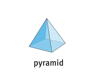# pyramid